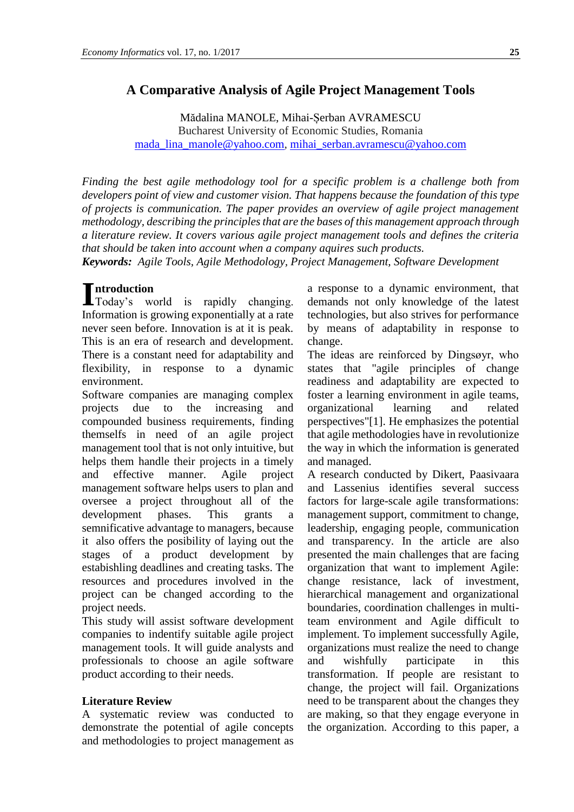## **A Comparative Analysis of Agile Project Management Tools**

Mădalina MANOLE, Mihai-Șerban AVRAMESCU Bucharest University of Economic Studies, Romania [mada\\_lina\\_manole@yahoo.com,](mailto:mada_lina_manole@yahoo.com) [mihai\\_serban.avramescu@yahoo.com](mailto:mihai_serban.avramescu@yahoo.com)

*Finding the best agile methodology tool for a specific problem is a challenge both from developers point of view and customer vision. That happens because the foundation of this type of projects is communication. The paper provides an overview of agile project management methodology, describing the principles that are the bases of this management approach through a literature review. It covers various agile project management tools and defines the criteria that should be taken into account when a company aquires such products.*

*Keywords: Agile Tools, Agile Methodology, Project Management, Software Development*

Introduction
Today's
w Today's world is rapidly changing. Information is growing exponentially at a rate never seen before. Innovation is at it is peak. This is an era of research and development. There is a constant need for adaptability and flexibility, in response to a dynamic environment.

Software companies are managing complex projects due to the increasing and compounded business requirements, finding themselfs in need of an agile project management tool that is not only intuitive, but helps them handle their projects in a timely and effective manner. Agile project management software helps users to plan and oversee a project throughout all of the development phases. This grants a semnificative advantage to managers, because it also offers the posibility of laying out the stages of a product development by estabishling deadlines and creating tasks. The resources and procedures involved in the project can be changed according to the project needs.

This study will assist software development companies to indentify suitable agile project management tools. It will guide analysts and professionals to choose an agile software product according to their needs.

## **Literature Review**

A systematic review was conducted to demonstrate the potential of agile concepts and methodologies to project management as a response to a dynamic environment, that demands not only knowledge of the latest technologies, but also strives for performance by means of adaptability in response to change.

The ideas are reinforced by Dingsøyr, who states that "agile principles of change readiness and adaptability are expected to foster a learning environment in agile teams, organizational learning and related perspectives"[1]. He emphasizes the potential that agile methodologies have in revolutionize the way in which the information is generated and managed.

A research conducted by Dikert, Paasivaara and Lassenius identifies several success factors for large-scale agile transformations: management support, commitment to change, leadership, engaging people, communication and transparency. In the article are also presented the main challenges that are facing organization that want to implement Agile: change resistance, lack of investment, hierarchical management and organizational boundaries, coordination challenges in multiteam environment and Agile difficult to implement. To implement successfully Agile, organizations must realize the need to change and wishfully participate in this transformation. If people are resistant to change, the project will fail. Organizations need to be transparent about the changes they are making, so that they engage everyone in the organization. According to this paper, a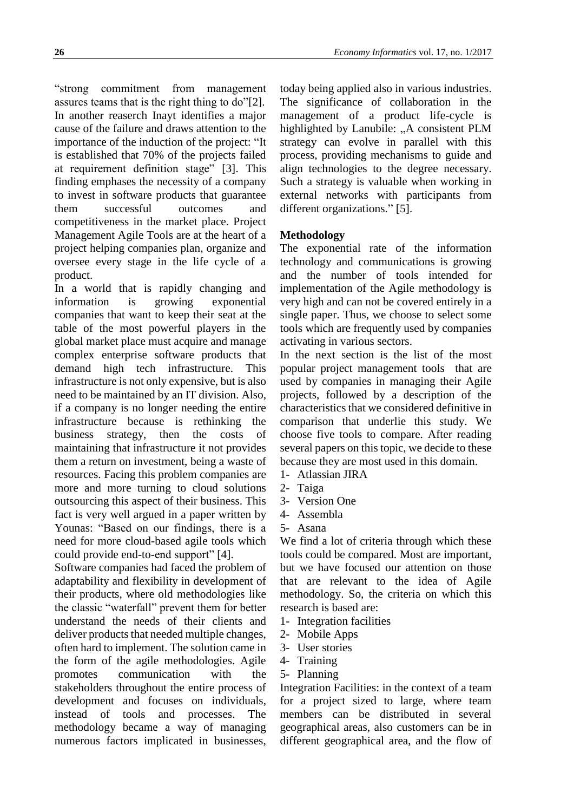"strong commitment from management assures teams that is the right thing to do"[2]. In another reaserch Inayt identifies a major cause of the failure and draws attention to the importance of the induction of the project: "It is established that 70% of the projects failed at requirement definition stage" [3]. This finding emphases the necessity of a company to invest in software products that guarantee them successful outcomes and competitiveness in the market place. Project Management Agile Tools are at the heart of a project helping companies plan, organize and oversee every stage in the life cycle of a product.

In a world that is rapidly changing and information is growing exponential companies that want to keep their seat at the table of the most powerful players in the global market place must acquire and manage complex enterprise software products that demand high tech infrastructure. This infrastructure is not only expensive, but is also need to be maintained by an IT division. Also, if a company is no longer needing the entire infrastructure because is rethinking the business strategy, then the costs of maintaining that infrastructure it not provides them a return on investment, being a waste of resources. Facing this problem companies are more and more turning to cloud solutions outsourcing this aspect of their business. This fact is very well argued in a paper written by Younas: "Based on our findings, there is a need for more cloud-based agile tools which could provide end-to-end support" [4].

Software companies had faced the problem of adaptability and flexibility in development of their products, where old methodologies like the classic "waterfall" prevent them for better understand the needs of their clients and deliver products that needed multiple changes, often hard to implement. The solution came in the form of the agile methodologies. Agile promotes communication with the stakeholders throughout the entire process of development and focuses on individuals, instead of tools and processes. The methodology became a way of managing numerous factors implicated in businesses,

today being applied also in various industries. The significance of collaboration in the management of a product life-cycle is highlighted by Lanubile: "A consistent PLM strategy can evolve in parallel with this process, providing mechanisms to guide and align technologies to the degree necessary. Such a strategy is valuable when working in external networks with participants from different organizations." [5].

## **Methodology**

The exponential rate of the information technology and communications is growing and the number of tools intended for implementation of the Agile methodology is very high and can not be covered entirely in a single paper. Thus, we choose to select some tools which are frequently used by companies activating in various sectors.

In the next section is the list of the most popular project management tools that are used by companies in managing their Agile projects, followed by a description of the characteristics that we considered definitive in comparison that underlie this study. We choose five tools to compare. After reading several papers on this topic, we decide to these because they are most used in this domain.

- 1- Atlassian JIRA
- 2- Taiga
- 3- Version One
- 4- Assembla
- 5- Asana

We find a lot of criteria through which these tools could be compared. Most are important, but we have focused our attention on those that are relevant to the idea of Agile methodology. So, the criteria on which this research is based are:

- 1- Integration facilities
- 2- Mobile Apps
- 3- User stories
- 4- Training
- 5- Planning

Integration Facilities: in the context of a team for a project sized to large, where team members can be distributed in several geographical areas, also customers can be in different geographical area, and the flow of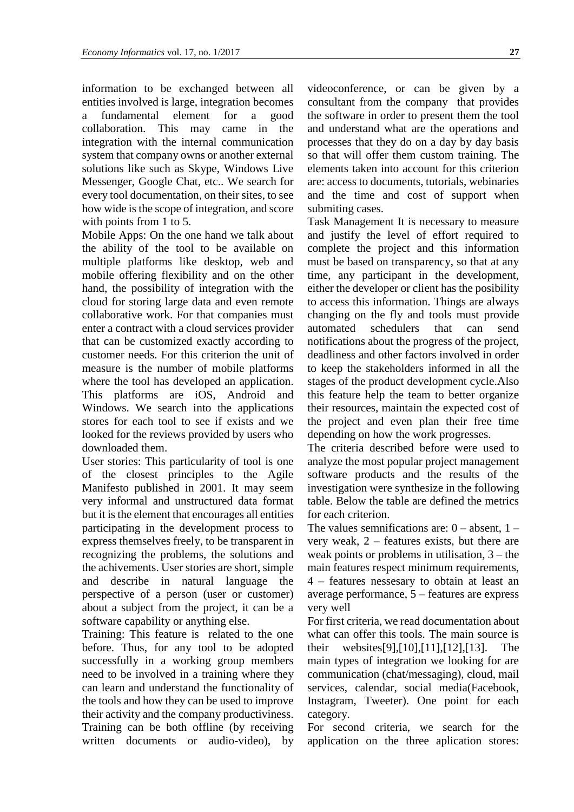information to be exchanged between all entities involved is large, integration becomes a fundamental element for a good collaboration. This may came in the integration with the internal communication system that company owns or another external solutions like such as Skype, Windows Live Messenger, Google Chat, etc.. We search for every tool documentation, on their sites, to see how wide is the scope of integration, and score with points from 1 to 5.

Mobile Apps: On the one hand we talk about the ability of the tool to be available on multiple platforms like desktop, web and mobile offering flexibility and on the other hand, the possibility of integration with the cloud for storing large data and even remote collaborative work. For that companies must enter a contract with a cloud services provider that can be customized exactly according to customer needs. For this criterion the unit of measure is the number of mobile platforms where the tool has developed an application. This platforms are iOS, Android and Windows. We search into the applications stores for each tool to see if exists and we looked for the reviews provided by users who downloaded them.

User stories: This particularity of tool is one of the closest principles to the Agile Manifesto published in 2001. It may seem very informal and unstructured data format but it is the element that encourages all entities participating in the development process to express themselves freely, to be transparent in recognizing the problems, the solutions and the achivements. User stories are short, simple and describe in natural language the perspective of a person (user or customer) about a subject from the project, it can be a software capability or anything else.

Training: This feature is related to the one before. Thus, for any tool to be adopted successfully in a working group members need to be involved in a training where they can learn and understand the functionality of the tools and how they can be used to improve their activity and the company productiviness. Training can be both offline (by receiving written documents or audio-video), by

videoconference, or can be given by a consultant from the company that provides the software in order to present them the tool and understand what are the operations and processes that they do on a day by day basis so that will offer them custom training. The elements taken into account for this criterion are: access to documents, tutorials, webinaries and the time and cost of support when submiting cases.

Task Management It is necessary to measure and justify the level of effort required to complete the project and this information must be based on transparency, so that at any time, any participant in the development, either the developer or client has the posibility to access this information. Things are always changing on the fly and tools must provide automated schedulers that can send notifications about the progress of the project, deadliness and other factors involved in order to keep the stakeholders informed in all the stages of the product development cycle.Also this feature help the team to better organize their resources, maintain the expected cost of the project and even plan their free time depending on how the work progresses.

The criteria described before were used to analyze the most popular project management software products and the results of the investigation were synthesize in the following table. Below the table are defined the metrics for each criterion.

The values semnifications are:  $0 -$  absent,  $1$ very weak, 2 – features exists, but there are weak points or problems in utilisation, 3 – the main features respect minimum requirements, 4 – features nessesary to obtain at least an average performance, 5 – features are express very well

For first criteria, we read documentation about what can offer this tools. The main source is their websites[9],[10],[11],[12],[13]. The main types of integration we looking for are communication (chat/messaging), cloud, mail services, calendar, social media(Facebook, Instagram, Tweeter). One point for each category.

For second criteria, we search for the application on the three aplication stores: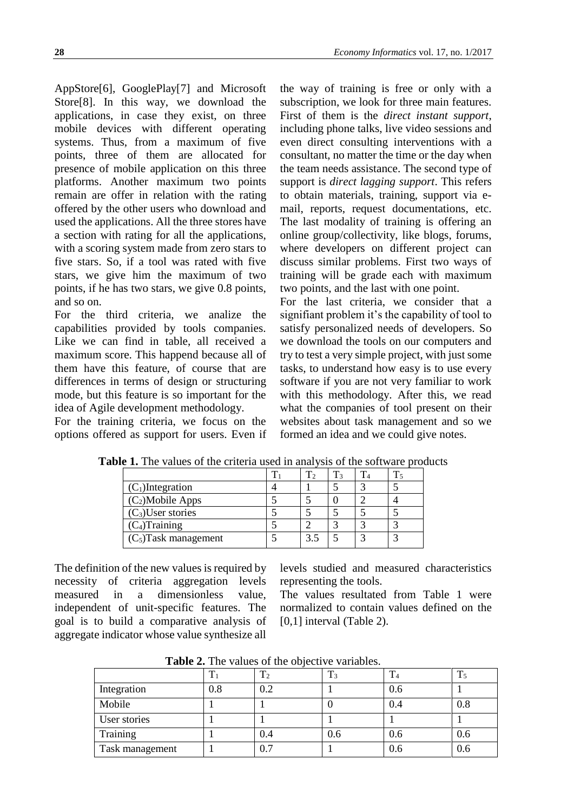AppStore[6], GooglePlay[7] and Microsoft Store[8]. In this way, we download the applications, in case they exist, on three mobile devices with different operating systems. Thus, from a maximum of five points, three of them are allocated for presence of mobile application on this three platforms. Another maximum two points remain are offer in relation with the rating offered by the other users who download and used the applications. All the three stores have a section with rating for all the applications, with a scoring system made from zero stars to five stars. So, if a tool was rated with five stars, we give him the maximum of two points, if he has two stars, we give 0.8 points, and so on.

For the third criteria, we analize the capabilities provided by tools companies. Like we can find in table, all received a maximum score. This happend because all of them have this feature, of course that are differences in terms of design or structuring mode, but this feature is so important for the idea of Agile development methodology.

For the training criteria, we focus on the options offered as support for users. Even if

the way of training is free or only with a subscription, we look for three main features. First of them is the *direct instant support*, including phone talks, live video sessions and even direct consulting interventions with a consultant, no matter the time or the day when the team needs assistance. The second type of support is *direct lagging support*. This refers to obtain materials, training, support via email, reports, request documentations, etc. The last modality of training is offering an online group/collectivity, like blogs, forums, where developers on different project can discuss similar problems. First two ways of training will be grade each with maximum two points, and the last with one point.

For the last criteria, we consider that a signifiant problem it's the capability of tool to satisfy personalized needs of developers. So we download the tools on our computers and try to test a very simple project, with just some tasks, to understand how easy is to use every software if you are not very familiar to work with this methodology. After this, we read what the companies of tool present on their websites about task management and so we formed an idea and we could give notes.

| $\sim$ 1110 Tangob of the effective words in ander join of the bolemary production |  |  |  |
|------------------------------------------------------------------------------------|--|--|--|
|                                                                                    |  |  |  |
| $(C_1)$ Integration                                                                |  |  |  |
| $(C_2)$ Mobile Apps                                                                |  |  |  |
| $(C_3)$ User stories                                                               |  |  |  |
| $(C_4)$ Training                                                                   |  |  |  |
| $(C_5)$ Task management                                                            |  |  |  |

**Table 1.** The values of the criteria used in analysis of the software products

The definition of the new values is required by necessity of criteria aggregation levels measured in a dimensionless value, independent of unit-specific features. The goal is to build a comparative analysis of aggregate indicator whose value synthesize all

levels studied and measured characteristics representing the tools.

The values resultated from Table 1 were normalized to contain values defined on the [0,1] interval (Table 2).

|                 |     | $T_2$ | ᠇᠇<br>13 | - 4 | ௱<br>15 |
|-----------------|-----|-------|----------|-----|---------|
| Integration     | 0.8 | 0.2   |          | 0.6 |         |
| Mobile          |     |       |          | 0.4 | 0.8     |
| User stories    |     |       |          |     |         |
| Training        |     | 0.4   | 0.6      | 0.6 | 0.6     |
| Task management |     | 0.7   |          | 0.6 | 0.6     |

**Table 2.** The values of the objective variables.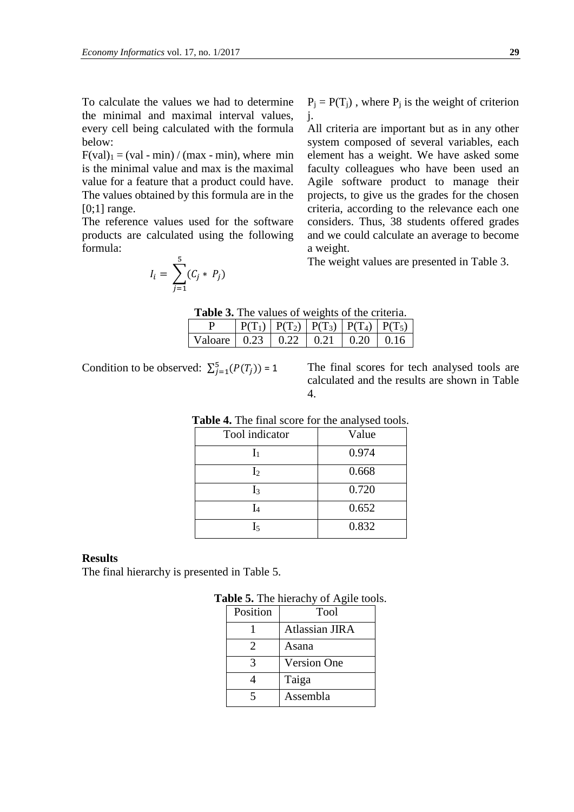To calculate the values we had to determine the minimal and maximal interval values, every cell being calculated with the formula below:

 $F(\text{val})_1 = (\text{val - min}) / (\text{max - min})$ , where min is the minimal value and max is the maximal value for a feature that a product could have. The values obtained by this formula are in the  $[0;1]$  range.

The reference values used for the software products are calculated using the following formula: 5

$$
I_i = \sum_{j=1}^5 (C_j * P_j)
$$

 $P_j = P(T_j)$ , where  $P_j$  is the weight of criterion j.

All criteria are important but as in any other system composed of several variables, each element has a weight. We have asked some faculty colleagues who have been used an Agile software product to manage their projects, to give us the grades for the chosen criteria, according to the relevance each one considers. Thus, 38 students offered grades and we could calculate an average to become a weight.

The weight values are presented in Table 3.

| <b>Table 3.</b> The values of weights of the criteria. |  |
|--------------------------------------------------------|--|
|--------------------------------------------------------|--|

|                              |  | $P(T_1)   P(T_2)   P(T_3)   P(T_4)   P(T_5)$ |      |             |
|------------------------------|--|----------------------------------------------|------|-------------|
| Valoare   0.23   0.22   0.21 |  |                                              | 1020 | <b>1016</b> |

Condition to be observed:  $\sum_{j=1}^{5} (P(T_j))$ 

The final scores for tech analysed tools are calculated and the results are shown in Table 4.

| Tool indicator | Value |  |  |
|----------------|-------|--|--|
| ı,             | 0.974 |  |  |
| $I_2$          | 0.668 |  |  |
| ${\rm I}_3$    | 0.720 |  |  |
|                | 0.652 |  |  |
| I5             | 0.832 |  |  |

# **Table 4.** The final score for the analysed tools.

## **Results**

The final hierarchy is presented in Table 5.

|       | Table 5. The hierachy of Agile tools. |  |
|-------|---------------------------------------|--|
| ا … ا |                                       |  |

| Position | Tool               |
|----------|--------------------|
|          | Atlassian JIRA     |
|          | Asana              |
| 3        | <b>Version One</b> |
|          | Taiga              |
| 5        | Assembla           |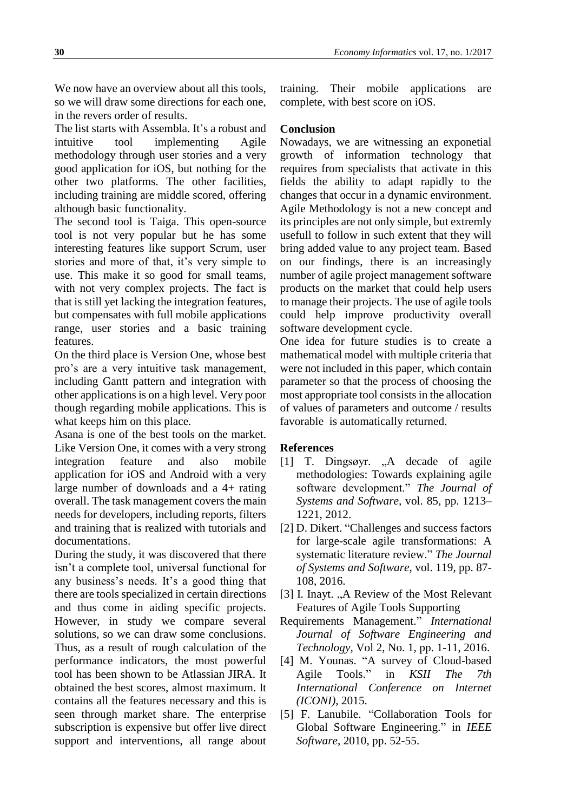We now have an overview about all this tools, so we will draw some directions for each one, in the revers order of results.

The list starts with Assembla. It's a robust and intuitive tool implementing Agile methodology through user stories and a very good application for iOS, but nothing for the other two platforms. The other facilities, including training are middle scored, offering although basic functionality.

The second tool is Taiga. This open-source tool is not very popular but he has some interesting features like support Scrum, user stories and more of that, it's very simple to use. This make it so good for small teams, with not very complex projects. The fact is that is still yet lacking the integration features, but compensates with full mobile applications range, user stories and a basic training features.

On the third place is Version One, whose best pro's are a very intuitive task management, including Gantt pattern and integration with other applications is on a high level. Very poor though regarding mobile applications. This is what keeps him on this place.

Asana is one of the best tools on the market. Like Version One, it comes with a very strong integration feature and also mobile application for iOS and Android with a very large number of downloads and a 4+ rating overall. The task management covers the main needs for developers, including reports, filters and training that is realized with tutorials and documentations.

During the study, it was discovered that there isn't a complete tool, universal functional for any business's needs. It's a good thing that there are tools specialized in certain directions and thus come in aiding specific projects. However, in study we compare several solutions, so we can draw some conclusions. Thus, as a result of rough calculation of the performance indicators, the most powerful tool has been shown to be Atlassian JIRA. It obtained the best scores, almost maximum. It contains all the features necessary and this is seen through market share. The enterprise subscription is expensive but offer live direct support and interventions, all range about

training. Their mobile applications are complete, with best score on iOS.

## **Conclusion**

Nowadays, we are witnessing an exponetial growth of information technology that requires from specialists that activate in this fields the ability to adapt rapidly to the changes that occur in a dynamic environment. Agile Methodology is not a new concept and its principles are not only simple, but extremly usefull to follow in such extent that they will bring added value to any project team. Based on our findings, there is an increasingly number of agile project management software products on the market that could help users to manage their projects. The use of agile tools could help improve productivity overall software development cycle.

One idea for future studies is to create a mathematical model with multiple criteria that were not included in this paper, which contain parameter so that the process of choosing the most appropriate tool consists in the allocation of values of parameters and outcome / results favorable is automatically returned.

#### **References**

- [1] T. Dingsøyr. "A decade of agile methodologies: Towards explaining agile software development." *The Journal of Systems and Software,* vol. 85, pp. 1213– 1221, 2012.
- [2] D. Dikert. "Challenges and success factors for large-scale agile transformations: A systematic literature review." *The Journal of Systems and Software,* vol. 119, pp. 87- 108, 2016.
- [3] I. Inayt. "A Review of the Most Relevant Features of Agile Tools Supporting
- Requirements Management." *International Journal of Software Engineering and Technology,* Vol 2, No. 1, pp. 1-11, 2016.
- [4] M. Younas. "A survey of Cloud-based Agile Tools." in *KSII The 7th International Conference on Internet (ICONI),* 2015.
- [5] F. Lanubile. "Collaboration Tools for Global Software Engineering." in *IEEE Software,* 2010, pp. 52-55.